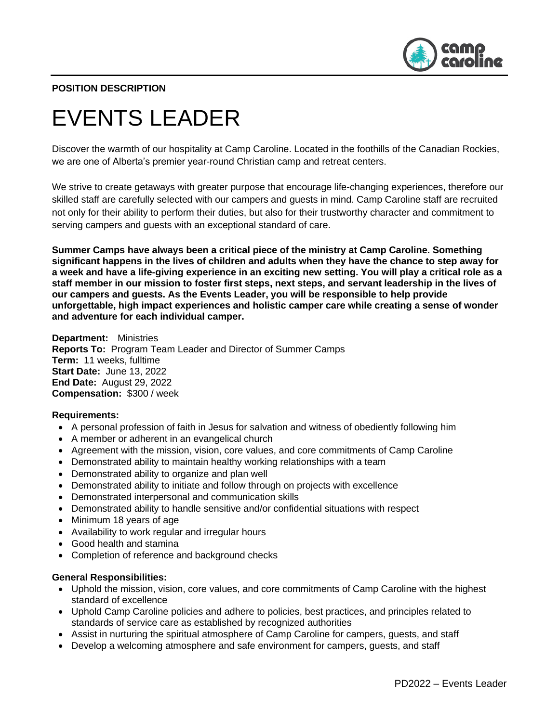

# **POSITION DESCRIPTION**

# EVENTS LEADER

Discover the warmth of our hospitality at Camp Caroline. Located in the foothills of the Canadian Rockies, we are one of Alberta's premier year-round Christian camp and retreat centers.

We strive to create getaways with greater purpose that encourage life-changing experiences, therefore our skilled staff are carefully selected with our campers and guests in mind. Camp Caroline staff are recruited not only for their ability to perform their duties, but also for their trustworthy character and commitment to serving campers and guests with an exceptional standard of care.

**Summer Camps have always been a critical piece of the ministry at Camp Caroline. Something significant happens in the lives of children and adults when they have the chance to step away for a week and have a life-giving experience in an exciting new setting. You will play a critical role as a staff member in our mission to foster first steps, next steps, and servant leadership in the lives of our campers and guests. As the Events Leader, you will be responsible to help provide unforgettable, high impact experiences and holistic camper care while creating a sense of wonder and adventure for each individual camper.**

**Department:** Ministries **Reports To:** Program Team Leader and Director of Summer Camps **Term:** 11 weeks, fulltime **Start Date:** June 13, 2022 **End Date:** August 29, 2022 **Compensation:** \$300 / week

#### **Requirements:**

- A personal profession of faith in Jesus for salvation and witness of obediently following him
- A member or adherent in an evangelical church
- Agreement with the mission, vision, core values, and core commitments of Camp Caroline
- Demonstrated ability to maintain healthy working relationships with a team
- Demonstrated ability to organize and plan well
- Demonstrated ability to initiate and follow through on projects with excellence
- Demonstrated interpersonal and communication skills
- Demonstrated ability to handle sensitive and/or confidential situations with respect
- Minimum 18 years of age
- Availability to work regular and irregular hours
- Good health and stamina
- Completion of reference and background checks

#### **General Responsibilities:**

- Uphold the mission, vision, core values, and core commitments of Camp Caroline with the highest standard of excellence
- Uphold Camp Caroline policies and adhere to policies, best practices, and principles related to standards of service care as established by recognized authorities
- Assist in nurturing the spiritual atmosphere of Camp Caroline for campers, guests, and staff
- Develop a welcoming atmosphere and safe environment for campers, guests, and staff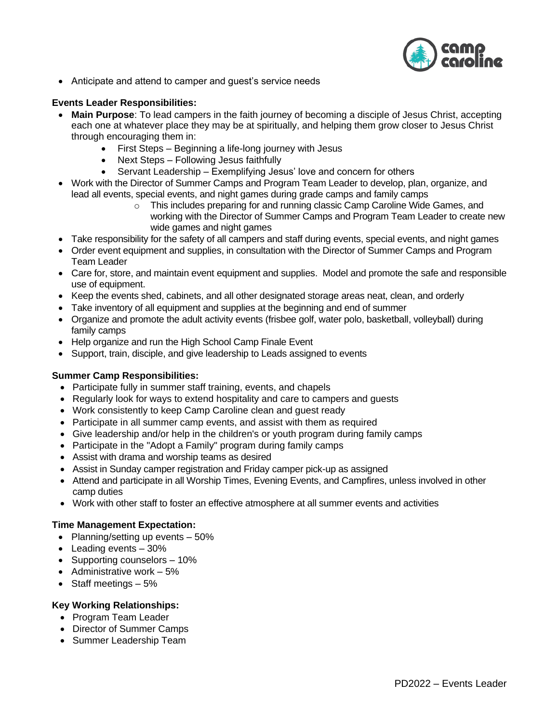

• Anticipate and attend to camper and guest's service needs

# **Events Leader Responsibilities:**

- **Main Purpose**: To lead campers in the faith journey of becoming a disciple of Jesus Christ, accepting each one at whatever place they may be at spiritually, and helping them grow closer to Jesus Christ through encouraging them in:
	- First Steps Beginning a life-long journey with Jesus
	- Next Steps Following Jesus faithfully
	- Servant Leadership Exemplifying Jesus' love and concern for others
- Work with the Director of Summer Camps and Program Team Leader to develop, plan, organize, and lead all events, special events, and night games during grade camps and family camps
	- o This includes preparing for and running classic Camp Caroline Wide Games, and working with the Director of Summer Camps and Program Team Leader to create new wide games and night games
- Take responsibility for the safety of all campers and staff during events, special events, and night games
- Order event equipment and supplies, in consultation with the Director of Summer Camps and Program Team Leader
- Care for, store, and maintain event equipment and supplies. Model and promote the safe and responsible use of equipment.
- Keep the events shed, cabinets, and all other designated storage areas neat, clean, and orderly
- Take inventory of all equipment and supplies at the beginning and end of summer
- Organize and promote the adult activity events (frisbee golf, water polo, basketball, volleyball) during family camps
- Help organize and run the High School Camp Finale Event
- Support, train, disciple, and give leadership to Leads assigned to events

## **Summer Camp Responsibilities:**

- Participate fully in summer staff training, events, and chapels
- Regularly look for ways to extend hospitality and care to campers and guests
- Work consistently to keep Camp Caroline clean and guest ready
- Participate in all summer camp events, and assist with them as required
- Give leadership and/or help in the children's or youth program during family camps
- Participate in the "Adopt a Family" program during family camps
- Assist with drama and worship teams as desired
- Assist in Sunday camper registration and Friday camper pick-up as assigned
- Attend and participate in all Worship Times, Evening Events, and Campfires, unless involved in other camp duties
- Work with other staff to foster an effective atmosphere at all summer events and activities

## **Time Management Expectation:**

- Planning/setting up events 50%
- Leading events 30%
- Supporting counselors 10%
- Administrative work 5%
- Staff meetings 5%

## **Key Working Relationships:**

- Program Team Leader
- Director of Summer Camps
- Summer Leadership Team